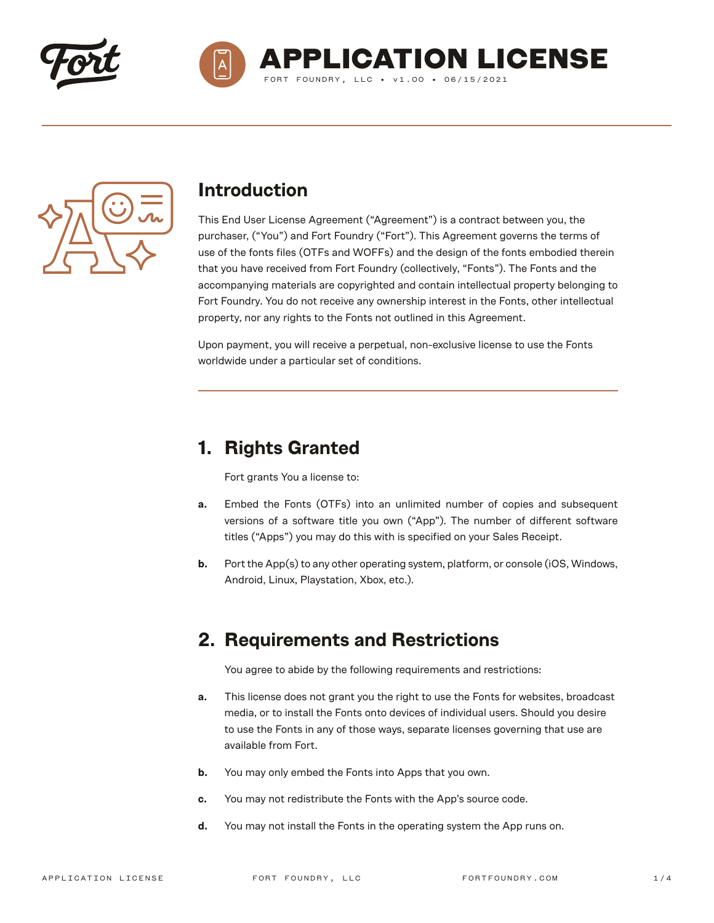





### **Introduction**

This End User License Agreement ("Agreement") is a contract between you, the purchaser, ("You") and Fort Foundry ("Fort"). This Agreement governs the terms of use of the fonts files (OTFs and WOFFs) and the design of the fonts embodied therein that you have received from Fort Foundry (collectively, "Fonts"). The Fonts and the accompanying materials are copyrighted and contain intellectual property belonging to Fort Foundry. You do not receive any ownership interest in the Fonts, other intellectual property, nor any rights to the Fonts not outlined in this Agreement.

Upon payment, you will receive a perpetual, non-exclusive license to use the Fonts worldwide under a particular set of conditions.

# **1. Rights Granted**

Fort grants You a license to:

- **a.** Embed the Fonts (OTFs) into an unlimited number of copies and subsequent versions of a software title you own ("App"). The number of different software titles ("Apps") you may do this with is specified on your Sales Receipt.
- **b.** Port the App(s) to any other operating system, platform, or console (iOS, Windows, Android, Linux, Playstation, Xbox, etc.).

## **2. Requirements and Restrictions**

You agree to abide by the following requirements and restrictions:

- **a.** This license does not grant you the right to use the Fonts for websites, broadcast media, or to install the Fonts onto devices of individual users. Should you desire to use the Fonts in any of those ways, separate licenses governing that use are available from Fort.
- **b.** You may only embed the Fonts into Apps that you own.
- **c.** You may not redistribute the Fonts with the App's source code.
- **d.** You may not install the Fonts in the operating system the App runs on.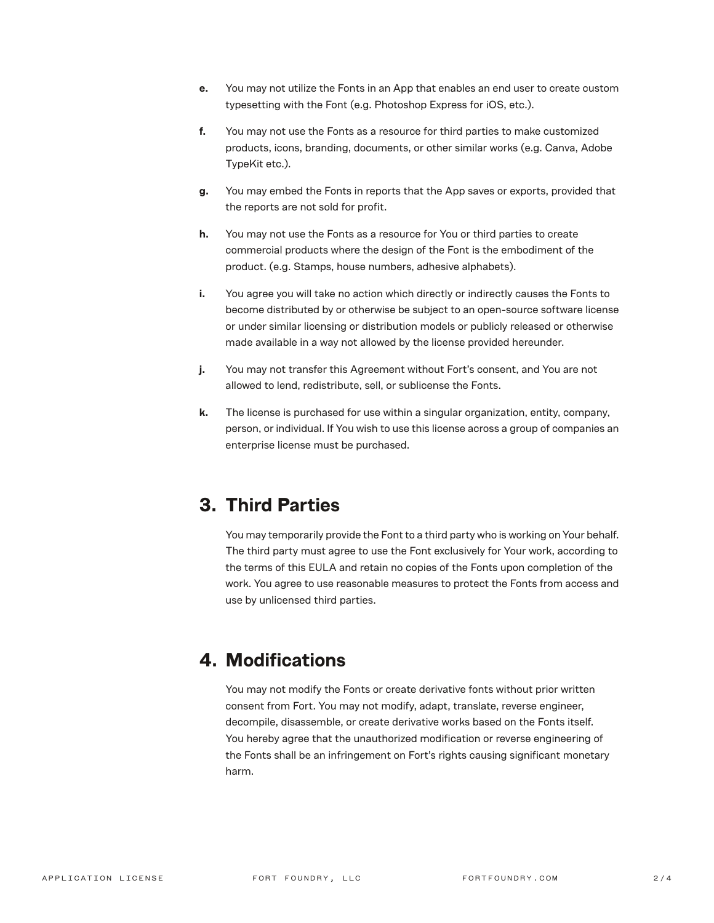- **e.** You may not utilize the Fonts in an App that enables an end user to create custom typesetting with the Font (e.g. Photoshop Express for iOS, etc.).
- **f.** You may not use the Fonts as a resource for third parties to make customized products, icons, branding, documents, or other similar works (e.g. Canva, Adobe TypeKit etc.).
- **g.** You may embed the Fonts in reports that the App saves or exports, provided that the reports are not sold for profit.
- **h.** You may not use the Fonts as a resource for You or third parties to create commercial products where the design of the Font is the embodiment of the product. (e.g. Stamps, house numbers, adhesive alphabets).
- **i.** You agree you will take no action which directly or indirectly causes the Fonts to become distributed by or otherwise be subject to an open-source software license or under similar licensing or distribution models or publicly released or otherwise made available in a way not allowed by the license provided hereunder.
- **j.** You may not transfer this Agreement without Fort's consent, and You are not allowed to lend, redistribute, sell, or sublicense the Fonts.
- **k.** The license is purchased for use within a singular organization, entity, company, person, or individual. If You wish to use this license across a group of companies an enterprise license must be purchased.

# **3. Third Parties**

You may temporarily provide the Font to a third party who is working on Your behalf. The third party must agree to use the Font exclusively for Your work, according to the terms of this EULA and retain no copies of the Fonts upon completion of the work. You agree to use reasonable measures to protect the Fonts from access and use by unlicensed third parties.

# **4. Modifications**

You may not modify the Fonts or create derivative fonts without prior written consent from Fort. You may not modify, adapt, translate, reverse engineer, decompile, disassemble, or create derivative works based on the Fonts itself. You hereby agree that the unauthorized modification or reverse engineering of the Fonts shall be an infringement on Fort's rights causing significant monetary harm.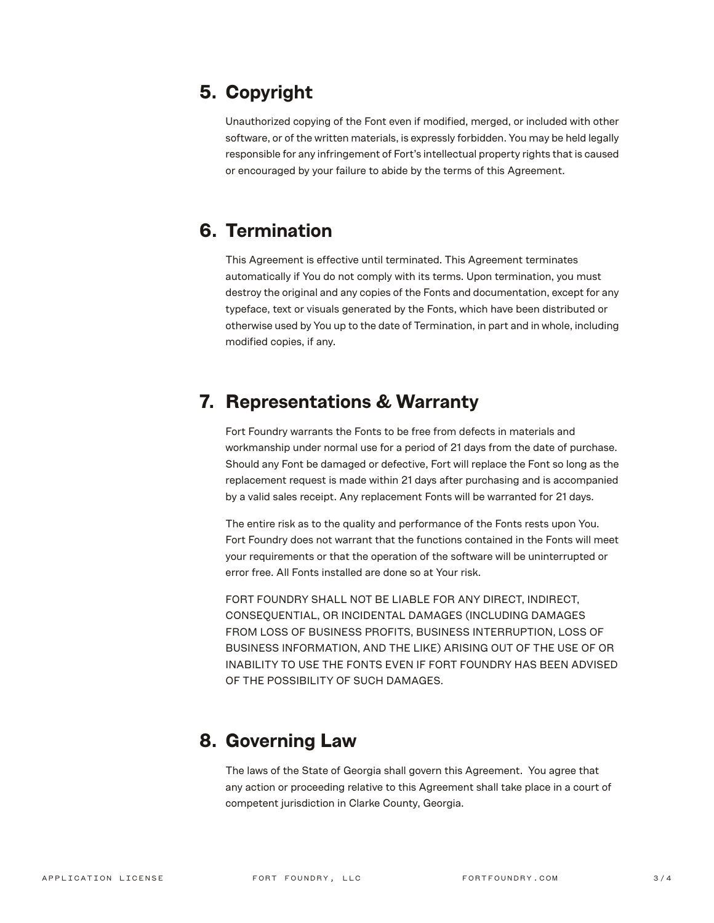# **5. Copyright**

Unauthorized copying of the Font even if modified, merged, or included with other software, or of the written materials, is expressly forbidden. You may be held legally responsible for any infringement of Fort's intellectual property rights that is caused or encouraged by your failure to abide by the terms of this Agreement.

## **6. Termination**

This Agreement is effective until terminated. This Agreement terminates automatically if You do not comply with its terms. Upon termination, you must destroy the original and any copies of the Fonts and documentation, except for any typeface, text or visuals generated by the Fonts, which have been distributed or otherwise used by You up to the date of Termination, in part and in whole, including modified copies, if any.

#### **7. Representations & Warranty**

Fort Foundry warrants the Fonts to be free from defects in materials and workmanship under normal use for a period of 21 days from the date of purchase. Should any Font be damaged or defective, Fort will replace the Font so long as the replacement request is made within 21 days after purchasing and is accompanied by a valid sales receipt. Any replacement Fonts will be warranted for 21 days.

The entire risk as to the quality and performance of the Fonts rests upon You. Fort Foundry does not warrant that the functions contained in the Fonts will meet your requirements or that the operation of the software will be uninterrupted or error free. All Fonts installed are done so at Your risk.

FORT FOUNDRY SHALL NOT BE LIABLE FOR ANY DIRECT, INDIRECT, CONSEQUENTIAL, OR INCIDENTAL DAMAGES (INCLUDING DAMAGES FROM LOSS OF BUSINESS PROFITS, BUSINESS INTERRUPTION, LOSS OF BUSINESS INFORMATION, AND THE LIKE) ARISING OUT OF THE USE OF OR INABILITY TO USE THE FONTS EVEN IF FORT FOUNDRY HAS BEEN ADVISED OF THE POSSIBILITY OF SUCH DAMAGES.

#### **8. Governing Law**

The laws of the State of Georgia shall govern this Agreement. You agree that any action or proceeding relative to this Agreement shall take place in a court of competent jurisdiction in Clarke County, Georgia.